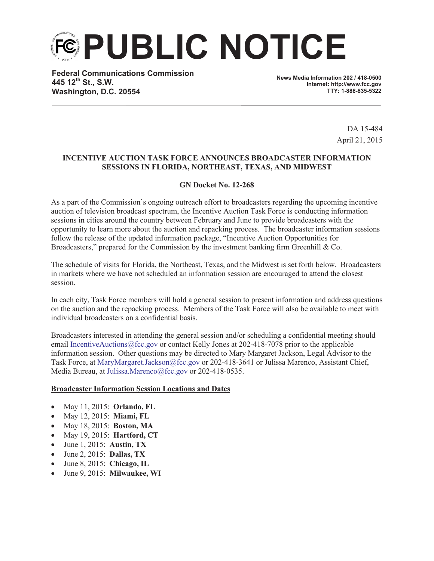**PUBLIC NOTICE**

**Federal Communications Commission 445 12th St., S.W. Washington, D.C. 20554**

**News Media Information 202 / 418-0500 Internet: http://www.fcc.gov TTY: 1-888-835-5322**

> DA 15-484 April 21, 2015

## **INCENTIVE AUCTION TASK FORCE ANNOUNCES BROADCASTER INFORMATION SESSIONS IN FLORIDA, NORTHEAST, TEXAS, AND MIDWEST**

## **GN Docket No. 12-268**

As a part of the Commission's ongoing outreach effort to broadcasters regarding the upcoming incentive auction of television broadcast spectrum, the Incentive Auction Task Force is conducting information sessions in cities around the country between February and June to provide broadcasters with the opportunity to learn more about the auction and repacking process. The broadcaster information sessions follow the release of the updated information package, "Incentive Auction Opportunities for Broadcasters," prepared for the Commission by the investment banking firm Greenhill & Co.

The schedule of visits for Florida, the Northeast, Texas, and the Midwest is set forth below. Broadcasters in markets where we have not scheduled an information session are encouraged to attend the closest session.

In each city, Task Force members will hold a general session to present information and address questions on the auction and the repacking process. Members of the Task Force will also be available to meet with individual broadcasters on a confidential basis.

Broadcasters interested in attending the general session and/or scheduling a confidential meeting should email IncentiveAuctions@fcc.gov or contact Kelly Jones at  $202-418-7078$  prior to the applicable information session. Other questions may be directed to Mary Margaret Jackson, Legal Advisor to the Task Force, at MaryMargaret.Jackson@fcc.gov or 202-418-3641 or Julissa Marenco, Assistant Chief, Media Bureau, at Julissa.Marenco@fcc.gov or 202-418-0535.

## **Broadcaster Information Session Locations and Dates**

- · May 11, 2015: **Orlando, FL**
- · May 12, 2015: **Miami, FL**
- · May 18, 2015: **Boston, MA**
- · May 19, 2015: **Hartford, CT**
- · June 1, 2015: **Austin, TX**
- · June 2, 2015: **Dallas, TX**
- · June 8, 2015: **Chicago, IL**
- · June 9, 2015: **Milwaukee, WI**